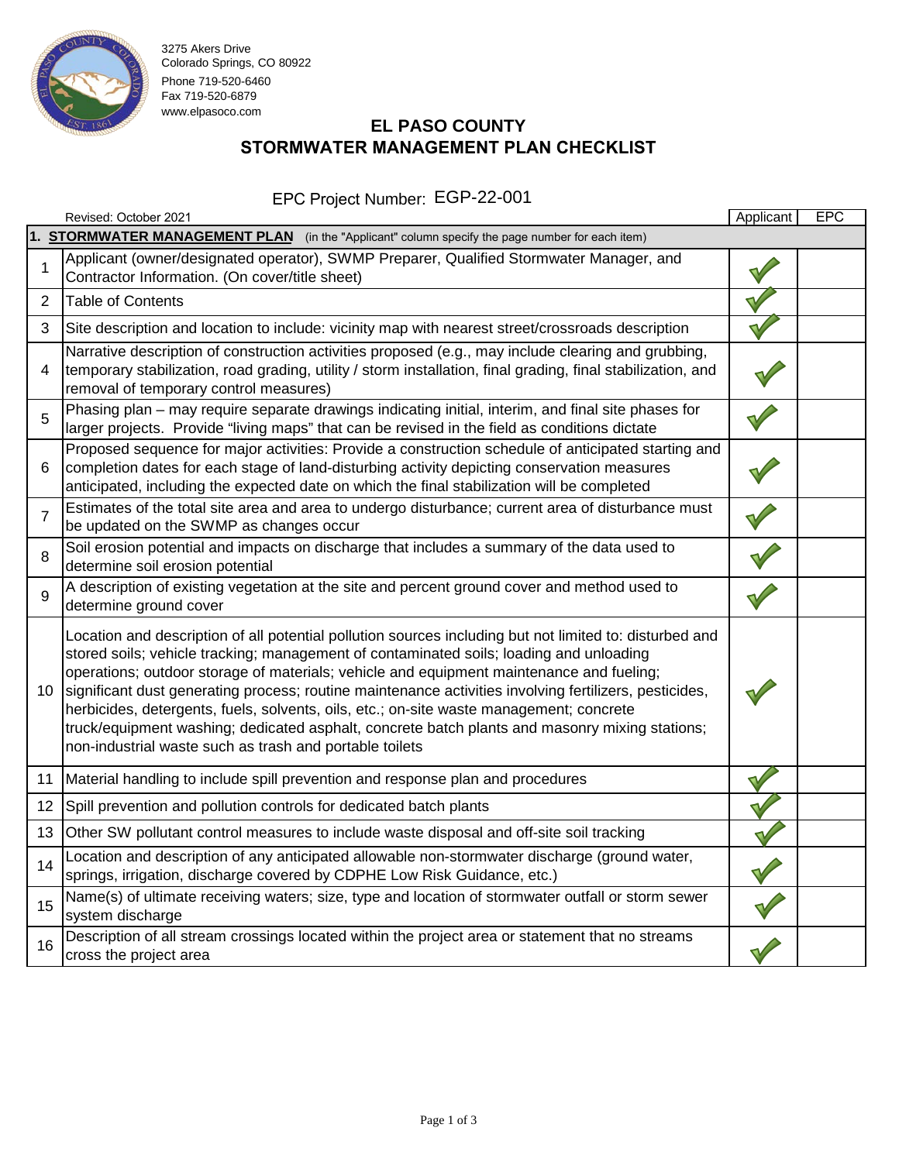

3275 Akers Drive Colorado Springs, CO 80922 Phone 719-520-6460 Fax 719-520-6879 www.elpasoco.com

# **EL PASO COUNTY STORMWATER MANAGEMENT PLAN CHECKLIST**

### EPC Project Number: EGP-22-001

|                 | Revised: October 2021                                                                                                                                                                                                                                                                                                                                                                                                                                                                                                                                                                                                                                            | Applicant | <b>EPC</b> |  |  |
|-----------------|------------------------------------------------------------------------------------------------------------------------------------------------------------------------------------------------------------------------------------------------------------------------------------------------------------------------------------------------------------------------------------------------------------------------------------------------------------------------------------------------------------------------------------------------------------------------------------------------------------------------------------------------------------------|-----------|------------|--|--|
|                 | 1. STORMWATER MANAGEMENT PLAN (in the "Applicant" column specify the page number for each item)                                                                                                                                                                                                                                                                                                                                                                                                                                                                                                                                                                  |           |            |  |  |
| 1               | Applicant (owner/designated operator), SWMP Preparer, Qualified Stormwater Manager, and<br>Contractor Information. (On cover/title sheet)                                                                                                                                                                                                                                                                                                                                                                                                                                                                                                                        |           |            |  |  |
| $\overline{2}$  | <b>Table of Contents</b>                                                                                                                                                                                                                                                                                                                                                                                                                                                                                                                                                                                                                                         |           |            |  |  |
| 3               | Site description and location to include: vicinity map with nearest street/crossroads description                                                                                                                                                                                                                                                                                                                                                                                                                                                                                                                                                                |           |            |  |  |
| 4               | Narrative description of construction activities proposed (e.g., may include clearing and grubbing,<br>temporary stabilization, road grading, utility / storm installation, final grading, final stabilization, and<br>removal of temporary control measures)                                                                                                                                                                                                                                                                                                                                                                                                    |           |            |  |  |
| 5               | Phasing plan - may require separate drawings indicating initial, interim, and final site phases for<br>larger projects. Provide "living maps" that can be revised in the field as conditions dictate                                                                                                                                                                                                                                                                                                                                                                                                                                                             |           |            |  |  |
| 6               | Proposed sequence for major activities: Provide a construction schedule of anticipated starting and<br>completion dates for each stage of land-disturbing activity depicting conservation measures<br>anticipated, including the expected date on which the final stabilization will be completed                                                                                                                                                                                                                                                                                                                                                                |           |            |  |  |
| $\overline{7}$  | Estimates of the total site area and area to undergo disturbance; current area of disturbance must<br>be updated on the SWMP as changes occur                                                                                                                                                                                                                                                                                                                                                                                                                                                                                                                    |           |            |  |  |
| 8               | Soil erosion potential and impacts on discharge that includes a summary of the data used to<br>determine soil erosion potential                                                                                                                                                                                                                                                                                                                                                                                                                                                                                                                                  |           |            |  |  |
| 9               | A description of existing vegetation at the site and percent ground cover and method used to<br>determine ground cover                                                                                                                                                                                                                                                                                                                                                                                                                                                                                                                                           |           |            |  |  |
| 10              | Location and description of all potential pollution sources including but not limited to: disturbed and<br>stored soils; vehicle tracking; management of contaminated soils; loading and unloading<br>operations; outdoor storage of materials; vehicle and equipment maintenance and fueling;<br>significant dust generating process; routine maintenance activities involving fertilizers, pesticides,<br>herbicides, detergents, fuels, solvents, oils, etc.; on-site waste management; concrete<br>truck/equipment washing; dedicated asphalt, concrete batch plants and masonry mixing stations;<br>non-industrial waste such as trash and portable toilets |           |            |  |  |
| 11              | Material handling to include spill prevention and response plan and procedures                                                                                                                                                                                                                                                                                                                                                                                                                                                                                                                                                                                   |           |            |  |  |
| 12 <sup>2</sup> | Spill prevention and pollution controls for dedicated batch plants                                                                                                                                                                                                                                                                                                                                                                                                                                                                                                                                                                                               |           |            |  |  |
| 13              | Other SW pollutant control measures to include waste disposal and off-site soil tracking                                                                                                                                                                                                                                                                                                                                                                                                                                                                                                                                                                         |           |            |  |  |
| 14              | Location and description of any anticipated allowable non-stormwater discharge (ground water,<br>springs, irrigation, discharge covered by CDPHE Low Risk Guidance, etc.)                                                                                                                                                                                                                                                                                                                                                                                                                                                                                        |           |            |  |  |
| 15              | Name(s) of ultimate receiving waters; size, type and location of stormwater outfall or storm sewer<br>system discharge                                                                                                                                                                                                                                                                                                                                                                                                                                                                                                                                           |           |            |  |  |
| 16              | Description of all stream crossings located within the project area or statement that no streams<br>cross the project area                                                                                                                                                                                                                                                                                                                                                                                                                                                                                                                                       |           |            |  |  |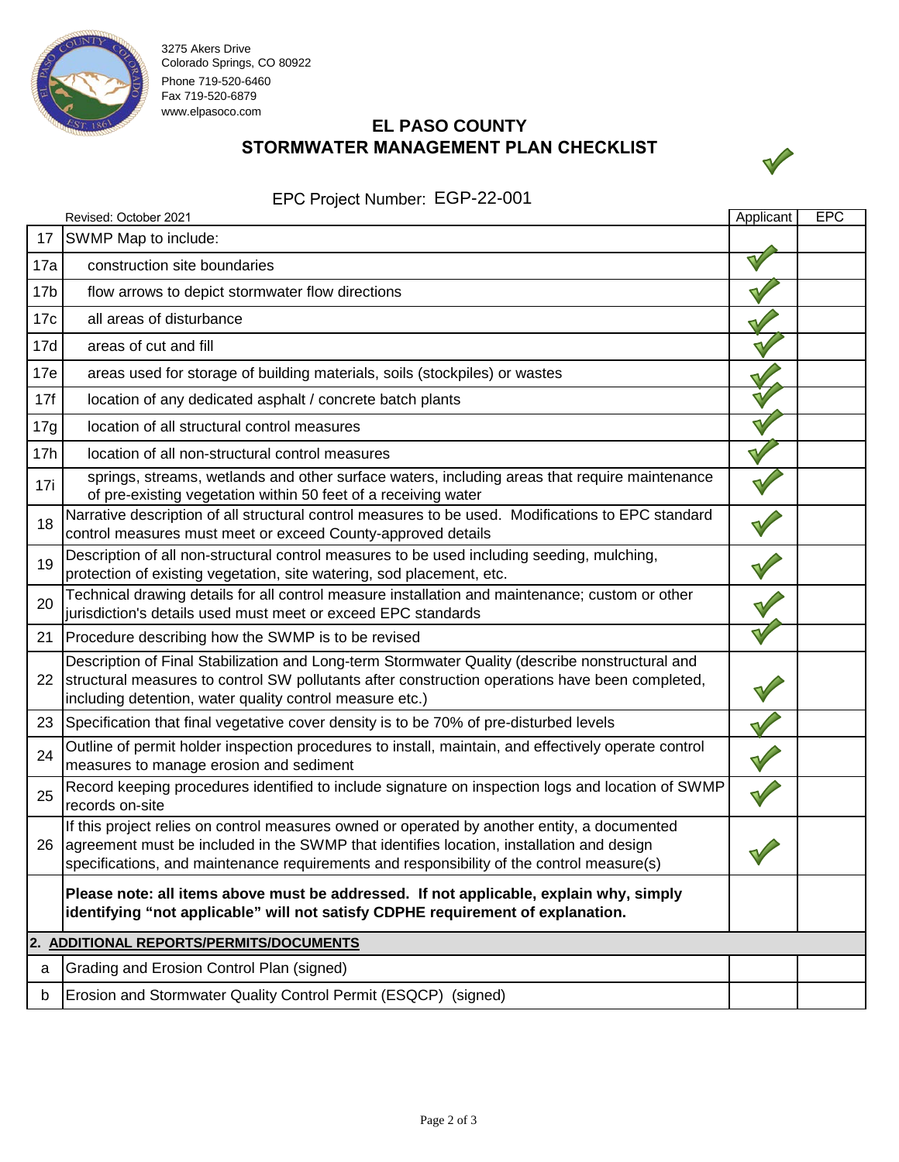

3275 Akers Drive Colorado Springs, CO 80922 Phone 719-520-6460 Fax 719-520-6879 www.elpasoco.com

# **EL PASO COUNTY STORMWATER MANAGEMENT PLAN CHECKLIST**



#### EPC Project Number: EGP-22-001

|                 | Revised: October 2021                                                                                                                                                                                                                                                                 | Applicant | <b>EPC</b> |  |  |
|-----------------|---------------------------------------------------------------------------------------------------------------------------------------------------------------------------------------------------------------------------------------------------------------------------------------|-----------|------------|--|--|
| 17              | SWMP Map to include:                                                                                                                                                                                                                                                                  |           |            |  |  |
| 17a             | construction site boundaries                                                                                                                                                                                                                                                          |           |            |  |  |
| 17 <sub>b</sub> | flow arrows to depict stormwater flow directions                                                                                                                                                                                                                                      |           |            |  |  |
| 17c             | all areas of disturbance                                                                                                                                                                                                                                                              |           |            |  |  |
| 17d             | areas of cut and fill                                                                                                                                                                                                                                                                 |           |            |  |  |
| 17e             | areas used for storage of building materials, soils (stockpiles) or wastes                                                                                                                                                                                                            |           |            |  |  |
| 17f             | location of any dedicated asphalt / concrete batch plants                                                                                                                                                                                                                             |           |            |  |  |
| 17g             | location of all structural control measures                                                                                                                                                                                                                                           |           |            |  |  |
| 17h             | location of all non-structural control measures                                                                                                                                                                                                                                       |           |            |  |  |
| 17i             | springs, streams, wetlands and other surface waters, including areas that require maintenance<br>of pre-existing vegetation within 50 feet of a receiving water                                                                                                                       |           |            |  |  |
| 18              | Narrative description of all structural control measures to be used. Modifications to EPC standard<br>control measures must meet or exceed County-approved details                                                                                                                    |           |            |  |  |
| 19              | Description of all non-structural control measures to be used including seeding, mulching,<br>protection of existing vegetation, site watering, sod placement, etc.                                                                                                                   |           |            |  |  |
| 20              | Technical drawing details for all control measure installation and maintenance; custom or other<br>jurisdiction's details used must meet or exceed EPC standards                                                                                                                      |           |            |  |  |
|                 | 21 Procedure describing how the SWMP is to be revised                                                                                                                                                                                                                                 |           |            |  |  |
| 22              | Description of Final Stabilization and Long-term Stormwater Quality (describe nonstructural and<br>structural measures to control SW pollutants after construction operations have been completed,<br>including detention, water quality control measure etc.)                        |           |            |  |  |
| 23              | Specification that final vegetative cover density is to be 70% of pre-disturbed levels                                                                                                                                                                                                |           |            |  |  |
| 24              | Outline of permit holder inspection procedures to install, maintain, and effectively operate control<br>measures to manage erosion and sediment                                                                                                                                       |           |            |  |  |
| 25              | Record keeping procedures identified to include signature on inspection logs and location of SWMP<br>records on-site                                                                                                                                                                  |           |            |  |  |
| 26              | If this project relies on control measures owned or operated by another entity, a documented<br>agreement must be included in the SWMP that identifies location, installation and design<br>specifications, and maintenance requirements and responsibility of the control measure(s) |           |            |  |  |
|                 | Please note: all items above must be addressed. If not applicable, explain why, simply<br>identifying "not applicable" will not satisfy CDPHE requirement of explanation.                                                                                                             |           |            |  |  |
|                 | 2. ADDITIONAL REPORTS/PERMITS/DOCUMENTS                                                                                                                                                                                                                                               |           |            |  |  |
| a               | Grading and Erosion Control Plan (signed)                                                                                                                                                                                                                                             |           |            |  |  |
| b               | Erosion and Stormwater Quality Control Permit (ESQCP) (signed)                                                                                                                                                                                                                        |           |            |  |  |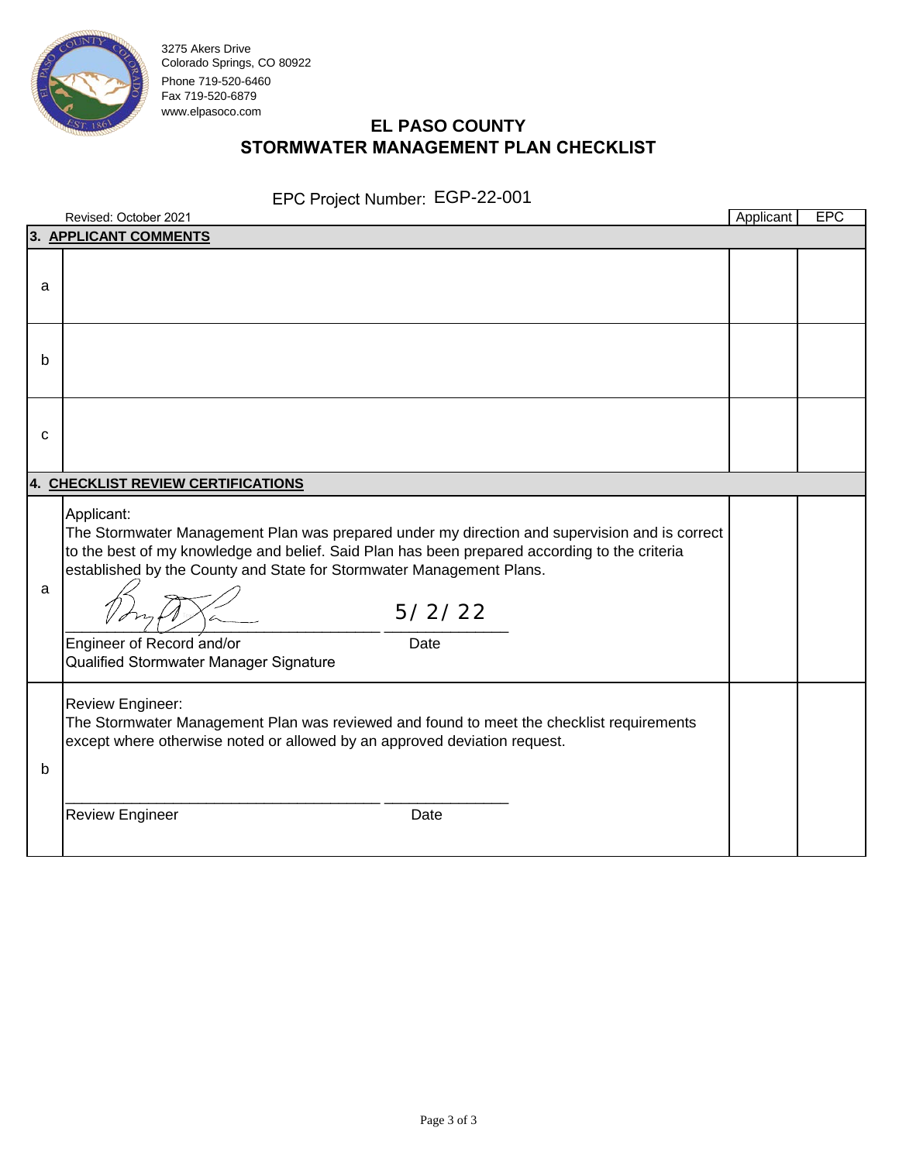

3275 Akers Drive Colorado Springs, CO 80922 Phone 719-520-6460 Fax 719-520-6879 www.elpasoco.com

# **EL PASO COUNTY STORMWATER MANAGEMENT PLAN CHECKLIST**

#### EPC Project Number: EGP-22-001

|   | Revised: October 2021                                                                                                                                                                                                                                      |                                                                                                                 | Applicant | <b>EPC</b> |
|---|------------------------------------------------------------------------------------------------------------------------------------------------------------------------------------------------------------------------------------------------------------|-----------------------------------------------------------------------------------------------------------------|-----------|------------|
|   | 3. APPLICANT COMMENTS                                                                                                                                                                                                                                      |                                                                                                                 |           |            |
| a |                                                                                                                                                                                                                                                            |                                                                                                                 |           |            |
| b |                                                                                                                                                                                                                                                            |                                                                                                                 |           |            |
| C |                                                                                                                                                                                                                                                            |                                                                                                                 |           |            |
|   | 4. CHECKLIST REVIEW CERTIFICATIONS                                                                                                                                                                                                                         |                                                                                                                 |           |            |
| a | Applicant:<br>to the best of my knowledge and belief. Said Plan has been prepared according to the criteria<br>established by the County and State for Stormwater Management Plans.<br>Engineer of Record and/or<br>Qualified Stormwater Manager Signature | The Stormwater Management Plan was prepared under my direction and supervision and is correct<br>5/2/22<br>Date |           |            |
| b | Review Engineer:<br>The Stormwater Management Plan was reviewed and found to meet the checklist requirements<br>except where otherwise noted or allowed by an approved deviation request.<br><b>Review Engineer</b>                                        | Date                                                                                                            |           |            |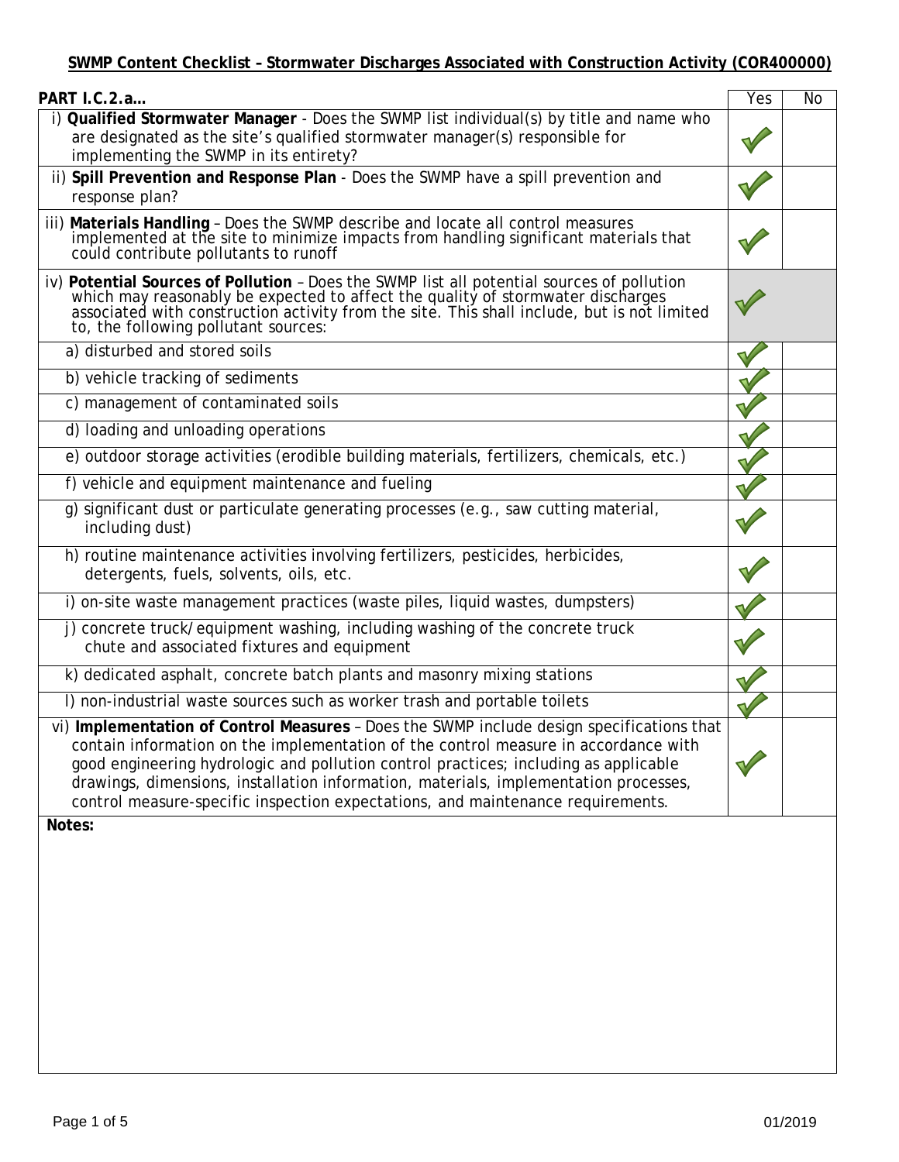| PART I.C.2.a                                                                                                                                                                                                                                                                                                                                                                                                                                        | Yes | No |
|-----------------------------------------------------------------------------------------------------------------------------------------------------------------------------------------------------------------------------------------------------------------------------------------------------------------------------------------------------------------------------------------------------------------------------------------------------|-----|----|
| i) Qualified Stormwater Manager - Does the SWMP list individual(s) by title and name who<br>are designated as the site's qualified stormwater manager(s) responsible for<br>implementing the SWMP in its entirety?                                                                                                                                                                                                                                  |     |    |
| ii) Spill Prevention and Response Plan - Does the SWMP have a spill prevention and<br>response plan?                                                                                                                                                                                                                                                                                                                                                |     |    |
| iii) Materials Handling - Does the SWMP describe and locate all control measures<br>implemented at the site to minimize impacts from handling significant materials that<br>could contribute pollutants to runoff                                                                                                                                                                                                                                   |     |    |
| iv) Potential Sources of Pollution - Does the SWMP list all potential sources of pollution<br>which may reasonably be expected to affect the quality of stormwater discharges associated with construction activity from the site. This shall include, but is not limited<br>to, the following pollutant sources:                                                                                                                                   |     |    |
| a) disturbed and stored soils                                                                                                                                                                                                                                                                                                                                                                                                                       |     |    |
| b) vehicle tracking of sediments                                                                                                                                                                                                                                                                                                                                                                                                                    |     |    |
| c) management of contaminated soils                                                                                                                                                                                                                                                                                                                                                                                                                 |     |    |
| d) loading and unloading operations                                                                                                                                                                                                                                                                                                                                                                                                                 |     |    |
| e) outdoor storage activities (erodible building materials, fertilizers, chemicals, etc.)                                                                                                                                                                                                                                                                                                                                                           |     |    |
| f) vehicle and equipment maintenance and fueling                                                                                                                                                                                                                                                                                                                                                                                                    |     |    |
| g) significant dust or particulate generating processes (e.g., saw cutting material,<br>including dust)                                                                                                                                                                                                                                                                                                                                             |     |    |
| h) routine maintenance activities involving fertilizers, pesticides, herbicides,<br>detergents, fuels, solvents, oils, etc.                                                                                                                                                                                                                                                                                                                         |     |    |
| i) on-site waste management practices (waste piles, liquid wastes, dumpsters)                                                                                                                                                                                                                                                                                                                                                                       |     |    |
| j) concrete truck/equipment washing, including washing of the concrete truck<br>chute and associated fixtures and equipment                                                                                                                                                                                                                                                                                                                         |     |    |
| k) dedicated asphalt, concrete batch plants and masonry mixing stations                                                                                                                                                                                                                                                                                                                                                                             |     |    |
| I) non-industrial waste sources such as worker trash and portable toilets                                                                                                                                                                                                                                                                                                                                                                           |     |    |
| vi) Implementation of Control Measures - Does the SWMP include design specifications that<br>contain information on the implementation of the control measure in accordance with<br>good engineering hydrologic and pollution control practices; including as applicable<br>drawings, dimensions, installation information, materials, implementation processes,<br>control measure-specific inspection expectations, and maintenance requirements. |     |    |
| Notes:                                                                                                                                                                                                                                                                                                                                                                                                                                              |     |    |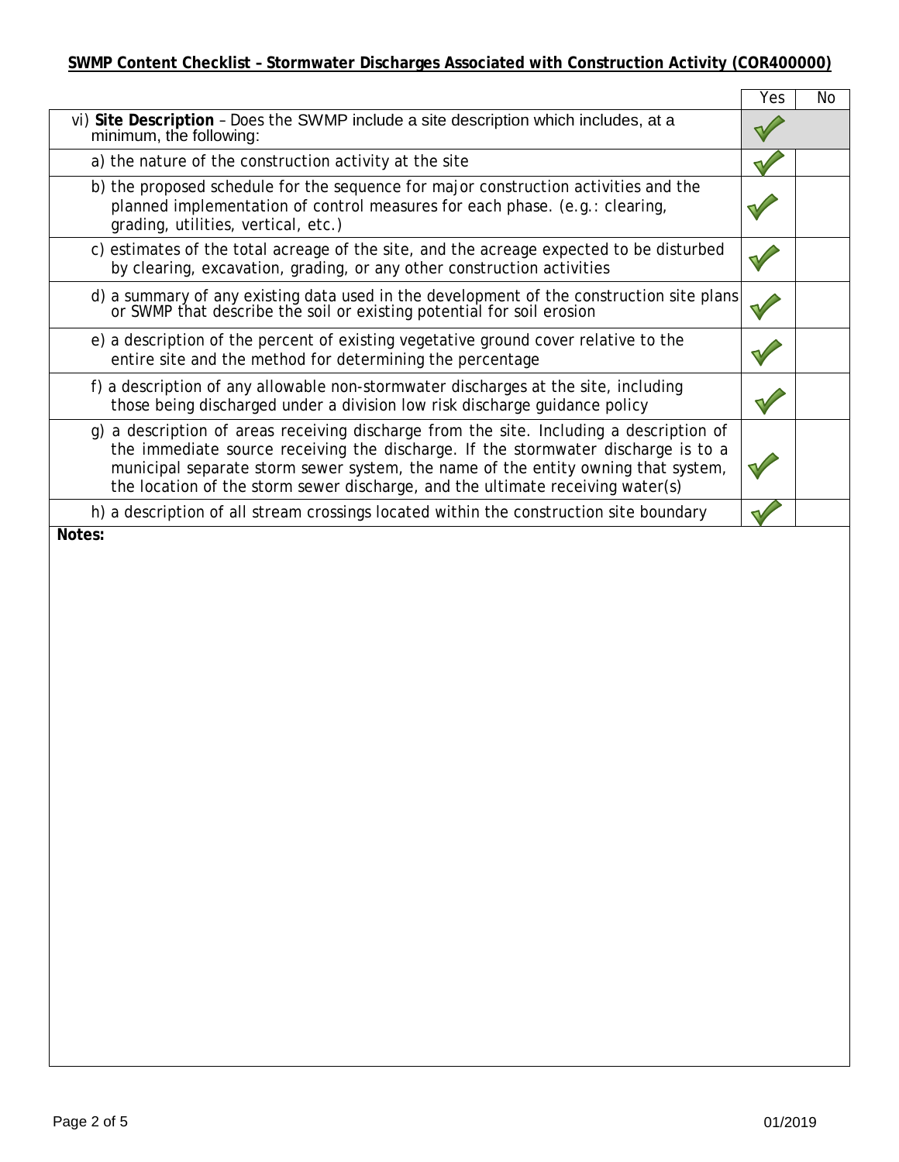|                                                                                                                                                                                                                                                                                                                                                     | Yes | Nο |
|-----------------------------------------------------------------------------------------------------------------------------------------------------------------------------------------------------------------------------------------------------------------------------------------------------------------------------------------------------|-----|----|
| vi) Site Description - Does the SWMP include a site description which includes, at a<br>minimum, the following:                                                                                                                                                                                                                                     |     |    |
| a) the nature of the construction activity at the site                                                                                                                                                                                                                                                                                              |     |    |
| b) the proposed schedule for the sequence for major construction activities and the<br>planned implementation of control measures for each phase. (e.g.: clearing,<br>grading, utilities, vertical, etc.)                                                                                                                                           |     |    |
| c) estimates of the total acreage of the site, and the acreage expected to be disturbed<br>by clearing, excavation, grading, or any other construction activities                                                                                                                                                                                   |     |    |
| d) a summary of any existing data used in the development of the construction site plans<br>or SWMP that describe the soil or existing potential for soil erosion                                                                                                                                                                                   |     |    |
| e) a description of the percent of existing vegetative ground cover relative to the<br>entire site and the method for determining the percentage                                                                                                                                                                                                    |     |    |
| f) a description of any allowable non-stormwater discharges at the site, including<br>those being discharged under a division low risk discharge guidance policy                                                                                                                                                                                    |     |    |
| g) a description of areas receiving discharge from the site. Including a description of<br>the immediate source receiving the discharge. If the stormwater discharge is to a<br>municipal separate storm sewer system, the name of the entity owning that system,<br>the location of the storm sewer discharge, and the ultimate receiving water(s) |     |    |
| h) a description of all stream crossings located within the construction site boundary                                                                                                                                                                                                                                                              |     |    |
| Notes:                                                                                                                                                                                                                                                                                                                                              |     |    |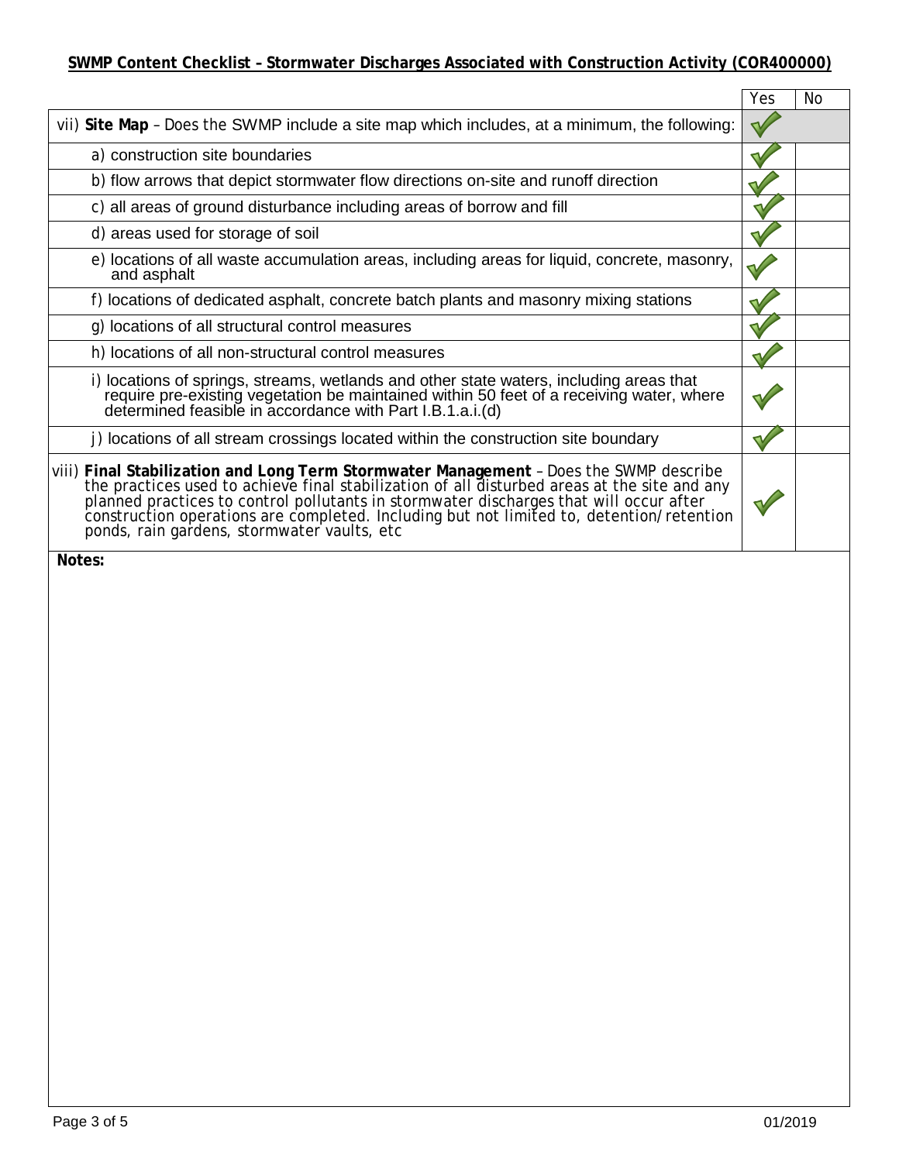|                                                                                                                                                                                                                                                                                                                                                                                         | Yes | No |
|-----------------------------------------------------------------------------------------------------------------------------------------------------------------------------------------------------------------------------------------------------------------------------------------------------------------------------------------------------------------------------------------|-----|----|
| vii) Site Map - Does the SWMP include a site map which includes, at a minimum, the following:                                                                                                                                                                                                                                                                                           |     |    |
| a) construction site boundaries                                                                                                                                                                                                                                                                                                                                                         |     |    |
| b) flow arrows that depict stormwater flow directions on-site and runoff direction                                                                                                                                                                                                                                                                                                      |     |    |
| c) all areas of ground disturbance including areas of borrow and fill                                                                                                                                                                                                                                                                                                                   |     |    |
| d) areas used for storage of soil                                                                                                                                                                                                                                                                                                                                                       |     |    |
| e) locations of all waste accumulation areas, including areas for liquid, concrete, masonry,<br>and asphalt                                                                                                                                                                                                                                                                             |     |    |
| f) locations of dedicated asphalt, concrete batch plants and masonry mixing stations                                                                                                                                                                                                                                                                                                    |     |    |
| g) locations of all structural control measures                                                                                                                                                                                                                                                                                                                                         |     |    |
| h) locations of all non-structural control measures                                                                                                                                                                                                                                                                                                                                     |     |    |
| i) locations of springs, streams, wetlands and other state waters, including areas that require pre-existing vegetation be maintained within 50 feet of a receiving water, where determined feasible in accordance with Part I                                                                                                                                                          |     |    |
| j) locations of all stream crossings located within the construction site boundary                                                                                                                                                                                                                                                                                                      |     |    |
| viii) Final Stabilization and Long Term Stormwater Management - Does the SWMP describe<br>the practices used to achieve final stabilization of all disturbed areas at the site and any<br>planned practices to control pollutants in stormwater discharges that will occur after<br>construction operations are completed. Inc<br>ponds, rain gardens, stormwater vaults, etc<br>Notes: |     |    |
|                                                                                                                                                                                                                                                                                                                                                                                         |     |    |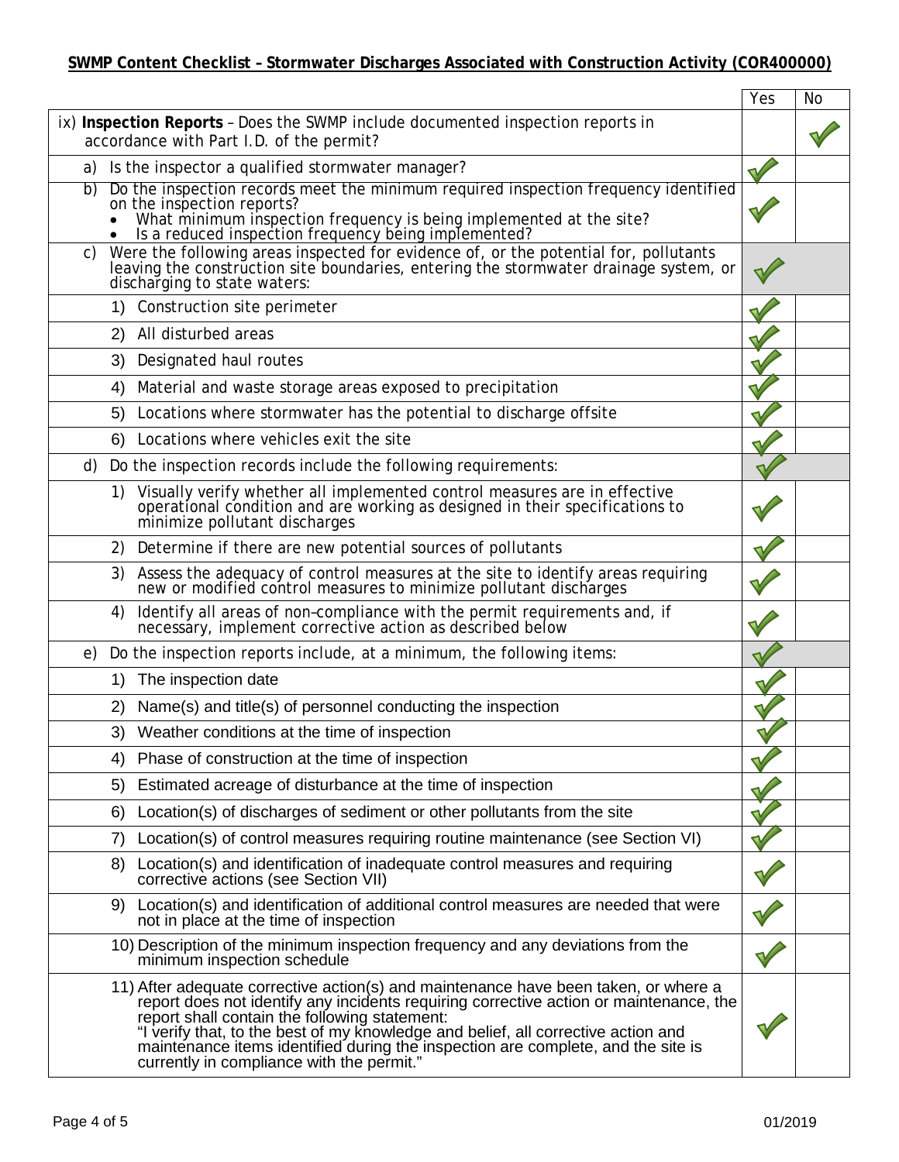|    |                                                                                                                                                                                                                                                                                                                                                                                                                                                      | Yes | <b>No</b> |
|----|------------------------------------------------------------------------------------------------------------------------------------------------------------------------------------------------------------------------------------------------------------------------------------------------------------------------------------------------------------------------------------------------------------------------------------------------------|-----|-----------|
|    | ix) Inspection Reports - Does the SWMP include documented inspection reports in<br>accordance with Part I.D. of the permit?                                                                                                                                                                                                                                                                                                                          |     |           |
| a) | Is the inspector a qualified stormwater manager?                                                                                                                                                                                                                                                                                                                                                                                                     |     |           |
| b) | Do the inspection records meet the minimum required inspection frequency identified<br>on the inspection reports?<br>What minimum inspection frequency is being implemented at the site?<br>Is a reduced inspection frequency being implemented?                                                                                                                                                                                                     |     |           |
| C) | Were the following areas inspected for evidence of, or the potential for, pollutants<br>leaving the construction site boundaries, entering the storm water drainage system, or<br>discharging to state waters:                                                                                                                                                                                                                                       |     |           |
|    | 1) Construction site perimeter                                                                                                                                                                                                                                                                                                                                                                                                                       |     |           |
|    | All disturbed areas<br>2)                                                                                                                                                                                                                                                                                                                                                                                                                            |     |           |
|    | Designated haul routes<br>3)                                                                                                                                                                                                                                                                                                                                                                                                                         |     |           |
|    | Material and waste storage areas exposed to precipitation<br>4)                                                                                                                                                                                                                                                                                                                                                                                      |     |           |
|    | Locations where stormwater has the potential to discharge offsite<br>5)                                                                                                                                                                                                                                                                                                                                                                              |     |           |
|    | Locations where vehicles exit the site<br>6)                                                                                                                                                                                                                                                                                                                                                                                                         |     |           |
| d) | Do the inspection records include the following requirements:                                                                                                                                                                                                                                                                                                                                                                                        |     |           |
|    | Visually verify whether all implemented control measures are in effective<br>1)<br>operational condition and are working as designed in their specifications to<br>minimize pollutant discharges                                                                                                                                                                                                                                                     |     |           |
|    | 2) Determine if there are new potential sources of pollutants                                                                                                                                                                                                                                                                                                                                                                                        |     |           |
|    | Assess the adequacy of control measures at the site to identify areas requiring<br>new or modified control measures to minimize pollutant discharges<br>3)                                                                                                                                                                                                                                                                                           |     |           |
|    | Identify all areas of non-compliance with the permit requirements and, if necessary, implement corrective action as described below<br>4)                                                                                                                                                                                                                                                                                                            |     |           |
| e) | Do the inspection reports include, at a minimum, the following items:                                                                                                                                                                                                                                                                                                                                                                                |     |           |
|    | The inspection date<br>1)                                                                                                                                                                                                                                                                                                                                                                                                                            |     |           |
|    | Name(s) and title(s) of personnel conducting the inspection<br>2)                                                                                                                                                                                                                                                                                                                                                                                    |     |           |
|    | 3) Weather conditions at the time of inspection                                                                                                                                                                                                                                                                                                                                                                                                      |     |           |
|    | 4) Phase of construction at the time of inspection                                                                                                                                                                                                                                                                                                                                                                                                   |     |           |
|    | Estimated acreage of disturbance at the time of inspection<br>5)                                                                                                                                                                                                                                                                                                                                                                                     |     |           |
|    | Location(s) of discharges of sediment or other pollutants from the site<br>6)                                                                                                                                                                                                                                                                                                                                                                        |     |           |
|    | Location(s) of control measures requiring routine maintenance (see Section VI)<br>7)                                                                                                                                                                                                                                                                                                                                                                 |     |           |
|    | Location(s) and identification of inadequate control measures and requiring<br>8)<br>corrective actions (see Section VII)                                                                                                                                                                                                                                                                                                                            |     |           |
|    | 9) Location(s) and identification of additional control measures are needed that were<br>not in place at the time of inspection                                                                                                                                                                                                                                                                                                                      |     |           |
|    | 10) Description of the minimum inspection frequency and any deviations from the<br>minimum inspection schedule                                                                                                                                                                                                                                                                                                                                       |     |           |
|    | 11) After adequate corrective action(s) and maintenance have been taken, or where a<br>report does not identify any incidents requiring corrective action or maintenance, the<br>report shall contain the following statement:<br>"I verify that, to the best of my knowledge and belief, all corrective action and<br>maintenance items identified during the inspection are complete, and the site is<br>currently in compliance with the permit." |     |           |